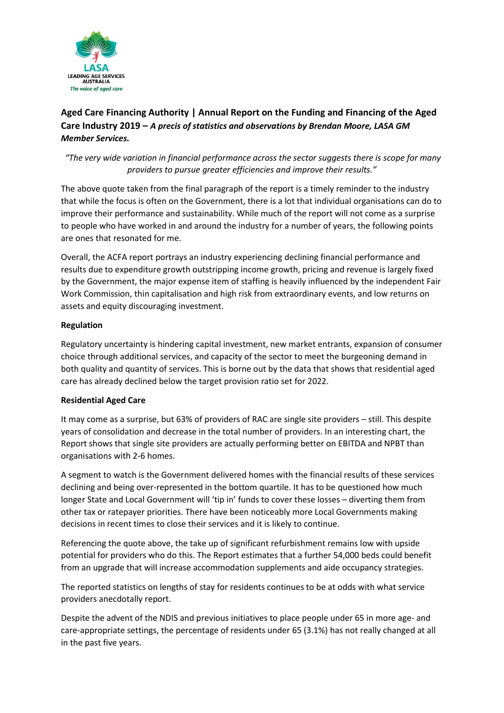

# **Aged Care Financing Authority | Annual Report on the Funding and Financing of the Aged Care Industry 2019 –** *A precis of statistics and observations by Brendan Moore, LASA GM Member Services.*

# *"The very wide variation in financial performance across the sector suggests there is scope for many providers to pursue greater efficiencies and improve their results."*

The above quote taken from the final paragraph of the report is a timely reminder to the industry that while the focus is often on the Government, there is a lot that individual organisations can do to improve their performance and sustainability. While much of the report will not come as a surprise to people who have worked in and around the industry for a number of years, the following points are ones that resonated for me.

Overall, the ACFA report portrays an industry experiencing declining financial performance and results due to expenditure growth outstripping income growth, pricing and revenue is largely fixed by the Government, the major expense item of staffing is heavily influenced by the independent Fair Work Commission, thin capitalisation and high risk from extraordinary events, and low returns on assets and equity discouraging investment.

## **Regulation**

Regulatory uncertainty is hindering capital investment, new market entrants, expansion of consumer choice through additional services, and capacity of the sector to meet the burgeoning demand in both quality and quantity of services. This is borne out by the data that shows that residential aged care has already declined below the target provision ratio set for 2022.

#### **Residential Aged Care**

It may come as a surprise, but 63% of providers of RAC are single site providers – still. This despite years of consolidation and decrease in the total number of providers. In an interesting chart, the Report shows that single site providers are actually performing better on EBITDA and NPBT than organisations with 2-6 homes.

A segment to watch is the Government delivered homes with the financial results of these services declining and being over-represented in the bottom quartile. It has to be questioned how much longer State and Local Government will 'tip in' funds to cover these losses – diverting them from other tax or ratepayer priorities. There have been noticeably more Local Governments making decisions in recent times to close their services and it is likely to continue.

Referencing the quote above, the take up of significant refurbishment remains low with upside potential for providers who do this. The Report estimates that a further 54,000 beds could benefit from an upgrade that will increase accommodation supplements and aide occupancy strategies.

The reported statistics on lengths of stay for residents continues to be at odds with what service providers anecdotally report.

Despite the advent of the NDIS and previous initiatives to place people under 65 in more age- and care-appropriate settings, the percentage of residents under 65 (3.1%) has not really changed at all in the past five years.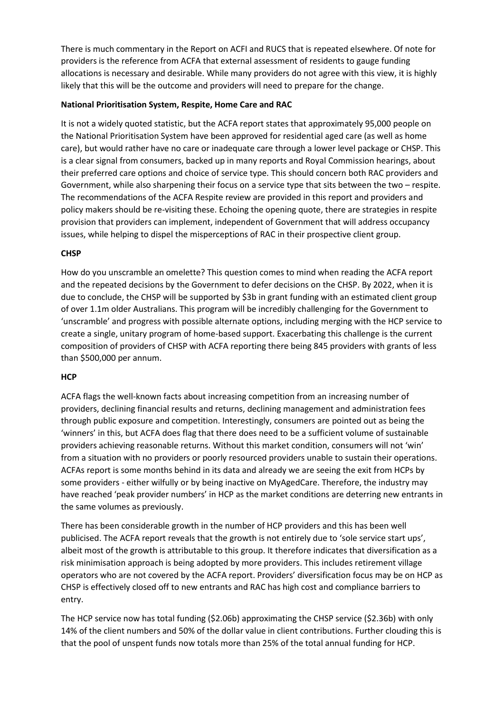There is much commentary in the Report on ACFI and RUCS that is repeated elsewhere. Of note for providers is the reference from ACFA that external assessment of residents to gauge funding allocations is necessary and desirable. While many providers do not agree with this view, it is highly likely that this will be the outcome and providers will need to prepare for the change.

#### **National Prioritisation System, Respite, Home Care and RAC**

It is not a widely quoted statistic, but the ACFA report states that approximately 95,000 people on the National Prioritisation System have been approved for residential aged care (as well as home care), but would rather have no care or inadequate care through a lower level package or CHSP. This is a clear signal from consumers, backed up in many reports and Royal Commission hearings, about their preferred care options and choice of service type. This should concern both RAC providers and Government, while also sharpening their focus on a service type that sits between the two – respite. The recommendations of the ACFA Respite review are provided in this report and providers and policy makers should be re-visiting these. Echoing the opening quote, there are strategies in respite provision that providers can implement, independent of Government that will address occupancy issues, while helping to dispel the misperceptions of RAC in their prospective client group.

## **CHSP**

How do you unscramble an omelette? This question comes to mind when reading the ACFA report and the repeated decisions by the Government to defer decisions on the CHSP. By 2022, when it is due to conclude, the CHSP will be supported by \$3b in grant funding with an estimated client group of over 1.1m older Australians. This program will be incredibly challenging for the Government to 'unscramble' and progress with possible alternate options, including merging with the HCP service to create a single, unitary program of home-based support. Exacerbating this challenge is the current composition of providers of CHSP with ACFA reporting there being 845 providers with grants of less than \$500,000 per annum.

#### **HCP**

ACFA flags the well-known facts about increasing competition from an increasing number of providers, declining financial results and returns, declining management and administration fees through public exposure and competition. Interestingly, consumers are pointed out as being the 'winners' in this, but ACFA does flag that there does need to be a sufficient volume of sustainable providers achieving reasonable returns. Without this market condition, consumers will not 'win' from a situation with no providers or poorly resourced providers unable to sustain their operations. ACFAs report is some months behind in its data and already we are seeing the exit from HCPs by some providers - either wilfully or by being inactive on MyAgedCare. Therefore, the industry may have reached 'peak provider numbers' in HCP as the market conditions are deterring new entrants in the same volumes as previously.

There has been considerable growth in the number of HCP providers and this has been well publicised. The ACFA report reveals that the growth is not entirely due to 'sole service start ups', albeit most of the growth is attributable to this group. It therefore indicates that diversification as a risk minimisation approach is being adopted by more providers. This includes retirement village operators who are not covered by the ACFA report. Providers' diversification focus may be on HCP as CHSP is effectively closed off to new entrants and RAC has high cost and compliance barriers to entry.

The HCP service now has total funding (\$2.06b) approximating the CHSP service (\$2.36b) with only 14% of the client numbers and 50% of the dollar value in client contributions. Further clouding this is that the pool of unspent funds now totals more than 25% of the total annual funding for HCP.